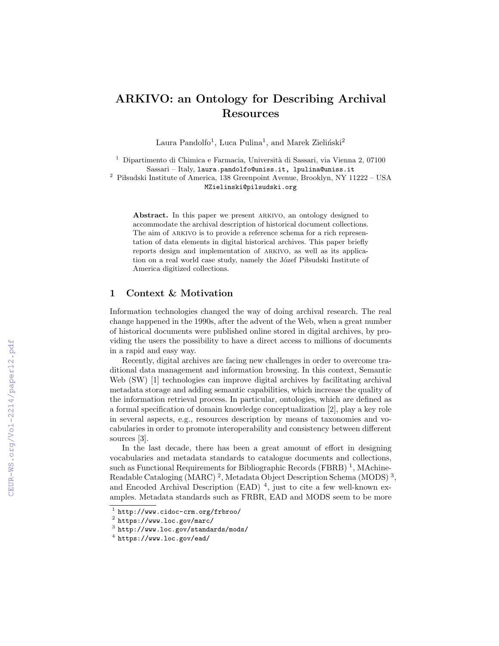# ARKIVO: an Ontology for Describing Archival Resources

Laura Pandolfo<sup>1</sup>, Luca Pulina<sup>1</sup>, and Marek Zieliński<sup>2</sup>

 $1$  Dipartimento di Chimica e Farmacia, Università di Sassari, via Vienna 2, 07100 Sassari – Italy, laura.pandolfo@uniss.it, lpulina@uniss.it

 $^2\,$  Piłsudski Institute of America, 138 Greenpoint Avenue, Brooklyn, NY 11222 – USA MZielinski@pilsudski.org

Abstract. In this paper we present ARKIVO, an ontology designed to accommodate the archival description of historical document collections. The aim of ARKIVO is to provide a reference schema for a rich representation of data elements in digital historical archives. This paper briefly reports design and implementation of arkivo, as well as its application on a real world case study, namely the Józef Piłsudski Institute of America digitized collections.

### 1 Context & Motivation

Information technologies changed the way of doing archival research. The real change happened in the 1990s, after the advent of the Web, when a great number of historical documents were published online stored in digital archives, by providing the users the possibility to have a direct access to millions of documents in a rapid and easy way.

Recently, digital archives are facing new challenges in order to overcome traditional data management and information browsing. In this context, Semantic Web (SW) [1] technologies can improve digital archives by facilitating archival metadata storage and adding semantic capabilities, which increase the quality of the information retrieval process. In particular, ontologies, which are defined as a formal specification of domain knowledge conceptualization [2], play a key role in several aspects, e.g., resources description by means of taxonomies and vocabularies in order to promote interoperability and consistency between different sources [3].

In the last decade, there has been a great amount of effort in designing vocabularies and metadata standards to catalogue documents and collections, such as Functional Requirements for Bibliographic Records (FBRB)<sup>1</sup>, MAchine-Readable Cataloging (MARC)<sup>2</sup>, Metadata Object Description Schema (MODS)<sup>3</sup>, and Encoded Archival Description (EAD)<sup>4</sup>, just to cite a few well-known examples. Metadata standards such as FRBR, EAD and MODS seem to be more

<sup>1</sup> http://www.cidoc-crm.org/frbroo/

 $^2$  https://www.loc.gov/marc/

 $^3$  http://www.loc.gov/standards/mods/

 $^4$  https://www.loc.gov/ead/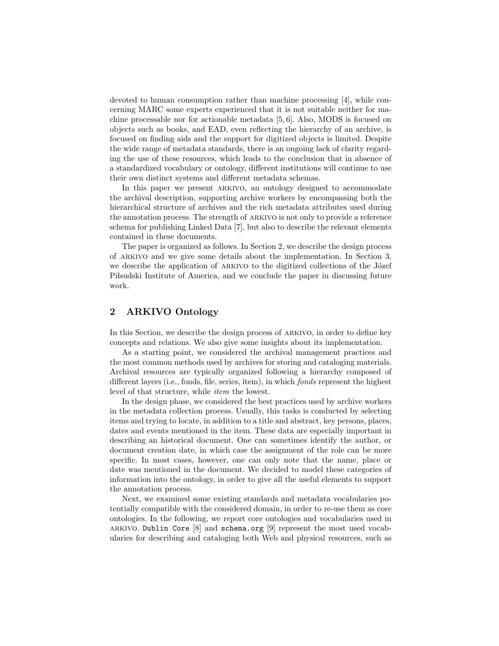devoted to human consumption rather than machine processing [4], while concerning MARC some experts experienced that it is not suitable neither for machine processable nor for actionable metadata [5, 6]. Also, MODS is focused on objects such as books, and EAD, even reflecting the hierarchy of an archive, is focused on finding aids and the support for digitized objects is limited. Despite the wide range of metadata standards, there is an ongoing lack of clarity regarding the use of these resources, which leads to the conclusion that in absence of a standardized vocabulary or ontology, different institutions will continue to use their own distinct systems and different metadata schemas.

In this paper we present ARKIVO, an ontology designed to accommodate the archival description, supporting archive workers by encompassing both the hierarchical structure of archives and the rich metadata attributes used during the annotation process. The strength of arkivo is not only to provide a reference schema for publishing Linked Data [7], but also to describe the relevant elements contained in these documents.

The paper is organized as follows. In Section 2, we describe the design process of arkivo and we give some details about the implementation. In Section 3, we describe the application of ARKIVO to the digitized collections of the Józef Pilsudski Institute of America, and we conclude the paper in discussing future work.

## 2 ARKIVO Ontology

In this Section, we describe the design process of ARKIVO, in order to define key concepts and relations. We also give some insights about its implementation.

As a starting point, we considered the archival management practices and the most common methods used by archives for storing and cataloging materials. Archival resources are typically organized following a hierarchy composed of different layers (i.e., fonds, file, series, item), in which *fonds* represent the highest level of that structure, while item the lowest.

In the design phase, we considered the best practices used by archive workers in the metadata collection process. Usually, this tasks is conducted by selecting items and trying to locate, in addition to a title and abstract, key persons, places, dates and events mentioned in the item. These data are especially important in describing an historical document. One can sometimes identify the author, or document creation date, in which case the assignment of the role can be more specific. In most cases, however, one can only note that the name, place or date was mentioned in the document. We decided to model these categories of information into the ontology, in order to give all the useful elements to support the annotation process.

Next, we examined some existing standards and metadata vocabularies potentially compatible with the considered domain, in order to re-use them as core ontologies. In the following, we report core ontologies and vocabularies used in arkivo. Dublin Core [8] and schema.org [9] represent the most used vocabularies for describing and cataloging both Web and physical resources, such as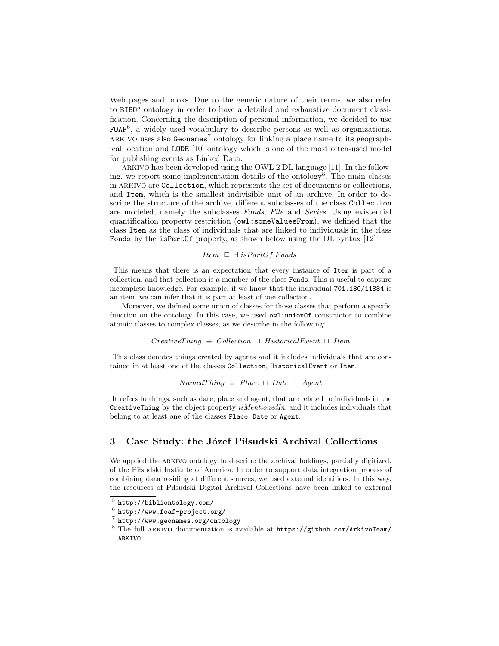Web pages and books. Due to the generic nature of their terms, we also refer to BIBO<sup>5</sup> ontology in order to have a detailed and exhaustive document classification. Concerning the description of personal information, we decided to use FOAF<sup>6</sup>, a widely used vocabulary to describe persons as well as organizations. ARKIVO uses also Geonames<sup>7</sup> ontology for linking a place name to its geographical location and LODE [10] ontology which is one of the most often-used model for publishing events as Linked Data.

arkivo has been developed using the OWL 2 DL language [11]. In the following, we report some implementation details of the ontology<sup>8</sup>. The main classes in ARKIVO are Collection, which represents the set of documents or collections, and Item, which is the smallest indivisible unit of an archive. In order to describe the structure of the archive, different subclasses of the class Collection are modeled, namely the subclasses Fonds, File and Series. Using existential quantification property restriction (owl:someValuesFrom), we defined that the class Item as the class of individuals that are linked to individuals in the class Fonds by the isPartOf property, as shown below using the DL syntax [12]

### *Item*  $\sqsubseteq$  ∃ *isPartOf.Fonds*

This means that there is an expectation that every instance of Item is part of a collection, and that collection is a member of the class Fonds. This is useful to capture incomplete knowledge. For example, if we know that the individual 701.180/11884 is an item, we can infer that it is part at least of one collection.

Moreover, we defined some union of classes for those classes that perform a specific function on the ontology. In this case, we used  $\text{owl:unionOf}}$  constructor to combine atomic classes to complex classes, as we describe in the following:

#### $Create Thing \equiv Collection \sqcup HistoricalEvent \sqcup Item$

This class denotes things created by agents and it includes individuals that are contained in at least one of the classes Collection, HistoricalEvent or Item.

#### $Named Thing \equiv Place \sqcup Date \sqcup Agent$

It refers to things, such as date, place and agent, that are related to individuals in the CreativeThing by the object property isMentionedIn, and it includes individuals that belong to at least one of the classes Place, Date or Agent.

### 3 Case Study: the Józef Piłsudski Archival Collections

We applied the ARKIVO ontology to describe the archival holdings, partially digitized, of the Pilsudski Institute of America. In order to support data integration process of combining data residing at different sources, we used external identifiers. In this way, the resources of Pilsudski Digital Archival Collections have been linked to external

<sup>5</sup> http://bibliontology.com/

 $^6$  http://www.foaf-project.org/

<sup>7</sup> http://www.geonames.org/ontology

<sup>8</sup> The full arkivo documentation is available at https://github.com/ArkivoTeam/ ARKIVO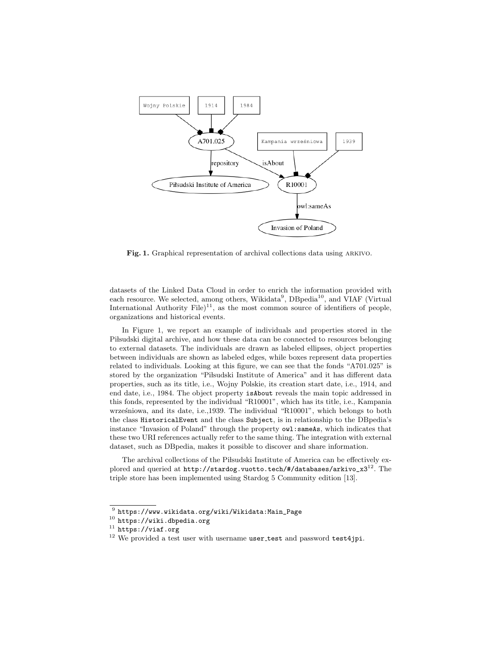

Fig. 1. Graphical representation of archival collections data using ARKIVO.

datasets of the Linked Data Cloud in order to enrich the information provided with each resource. We selected, among others, Wikidata<sup>9</sup>, DBpedia<sup>10</sup>, and VIAF (Virtual International Authority File)<sup>11</sup>, as the most common source of identifiers of people, organizations and historical events.

In Figure 1, we report an example of individuals and properties stored in the Pilsudski digital archive, and how these data can be connected to resources belonging to external datasets. The individuals are drawn as labeled ellipses, object properties between individuals are shown as labeled edges, while boxes represent data properties related to individuals. Looking at this figure, we can see that the fonds "A701.025" is stored by the organization "Pilsudski Institute of America" and it has different data properties, such as its title, i.e., Wojny Polskie, its creation start date, i.e., 1914, and end date, i.e., 1984. The object property isAbout reveals the main topic addressed in this fonds, represented by the individual "R10001", which has its title, i.e., Kampania wrześniowa, and its date, i.e.,1939. The individual "R10001", which belongs to both the class HistoricalEvent and the class Subject, is in relationship to the DBpedia's instance "Invasion of Poland" through the property owl:sameAs, which indicates that these two URI references actually refer to the same thing. The integration with external dataset, such as DBpedia, makes it possible to discover and share information.

The archival collections of the Pilsudski Institute of America can be effectively explored and queried at  $http://standog.vuotto.tech/#/databases/arkivo_x3^{12}$ . The triple store has been implemented using Stardog 5 Community edition [13].

 $^9$  https://www.wikidata.org/wiki/Wikidata:Main\_Page

 $10$  https://wiki.dbpedia.org

 $11$  https://viaf.org

<sup>&</sup>lt;sup>12</sup> We provided a test user with username user\_test and password test4jpi.